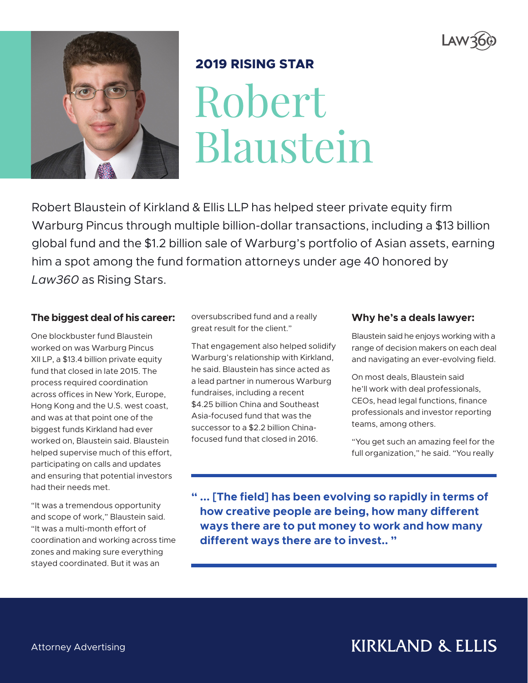



## **2019 RISING STAR**

Robert Blaustein

Robert Blaustein of Kirkland & Ellis LLP has helped steer private equity firm Warburg Pincus through multiple billion-dollar transactions, including a \$13 billion global fund and the \$1.2 billion sale of Warburg's portfolio of Asian assets, earning him a spot among the fund formation attorneys under age 40 honored by *Law360* as Rising Stars.

#### **The biggest deal of his career:**

One blockbuster fund Blaustein worked on was Warburg Pincus XII LP, a \$13.4 billion private equity fund that closed in late 2015. The process required coordination across offices in New York, Europe, Hong Kong and the U.S. west coast, and was at that point one of the biggest funds Kirkland had ever worked on, Blaustein said. Blaustein helped supervise much of this effort, participating on calls and updates and ensuring that potential investors had their needs met.

"It was a tremendous opportunity and scope of work," Blaustein said. "It was a multi-month effort of coordination and working across time zones and making sure everything stayed coordinated. But it was an

oversubscribed fund and a really great result for the client."

That engagement also helped solidify Warburg's relationship with Kirkland, he said. Blaustein has since acted as a lead partner in numerous Warburg fundraises, including a recent \$4.25 billion China and Southeast Asia-focused fund that was the successor to a \$2.2 billion Chinafocused fund that closed in 2016.

#### **Why he's a deals lawyer:**

Blaustein said he enjoys working with a range of decision makers on each deal and navigating an ever-evolving field.

On most deals, Blaustein said he'll work with deal professionals, CEOs, head legal functions, finance professionals and investor reporting teams, among others.

"You get such an amazing feel for the full organization," he said. "You really

**" ... [The field] has been evolving so rapidly in terms of how creative people are being, how many different ways there are to put money to work and how many different ways there are to invest.. "**